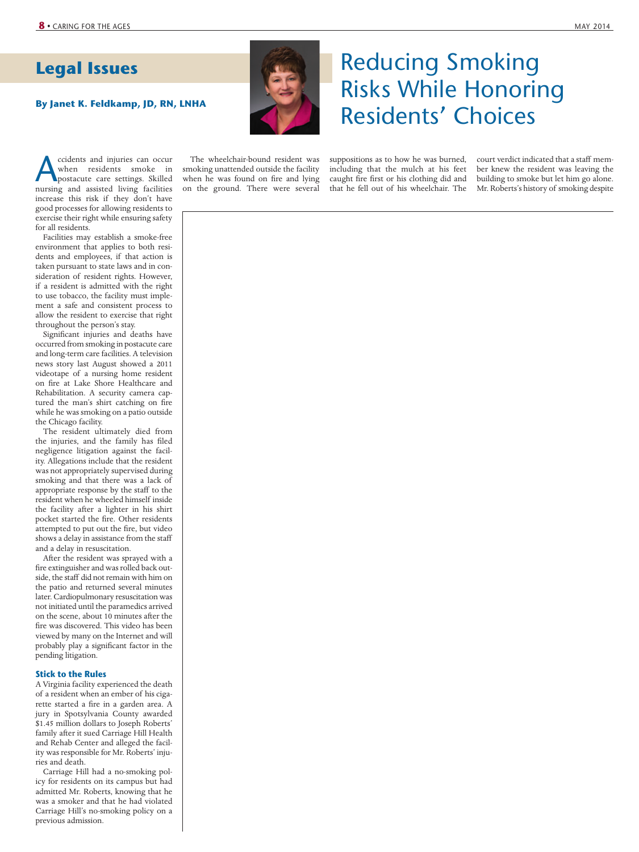## **Legal Issues**

cidents and injuries can occur<br>
when residents smoke in<br>
postacute care settings. Skilled<br>
nursing and assisted living facilities when residents smoke in nursing and assisted living facilities increase this risk if they don't have good processes for allowing residents to exercise their right while ensuring safety for all residents.

Facilities may establish a smoke-free environment that applies to both residents and employees, if that action is taken pursuant to state laws and in consideration of resident rights. However, if a resident is admitted with the right to use tobacco, the facility must implement a safe and consistent process to allow the resident to exercise that right throughout the person's stay.

Significant injuries and deaths have occurred from smoking in postacute care and long-term care facilities. A television news story last August showed a 2011 videotape of a nursing home resident on fire at Lake Shore Healthcare and Rehabilitation. A security camera captured the man's shirt catching on fire while he was smoking on a patio outside the Chicago facility.

The resident ultimately died from the injuries, and the family has filed negligence litigation against the facility. Allegations include that the resident was not appropriately supervised during smoking and that there was a lack of appropriate response by the staff to the resident when he wheeled himself inside the facility after a lighter in his shirt pocket started the fire. Other residents attempted to put out the fire, but video shows a delay in assistance from the staff and a delay in resuscitation.

After the resident was sprayed with a fire extinguisher and was rolled back outside, the staff did not remain with him on the patio and returned several minutes later. Cardiopulmonary resuscitation was not initiated until the paramedics arrived on the scene, about 10 minutes after the fire was discovered. This video has been viewed by many on the Internet and will probably play a significant factor in the pending litigation.

### **Stick to the Rules**

A Virginia facility experienced the death of a resident when an ember of his cigarette started a fire in a garden area. A jury in Spotsylvania County awarded \$1.45 million dollars to Joseph Roberts' family after it sued Carriage Hill Health and Rehab Center and alleged the facility was responsible for Mr. Roberts' injuries and death.

Carriage Hill had a no-smoking policy for residents on its campus but had admitted Mr. Roberts, knowing that he was a smoker and that he had violated Carriage Hill's no-smoking policy on a previous admission.



# Reducing Smoking Risks While Honoring By Janet K. Feldkamp, JD, RN, LNHA<br> **By Janet K. Feldkamp, JD, RN, LNHA**<br> **By Janet K. Feldkamp, JD, RN, LNHA**

The wheelchair-bound resident was smoking unattended outside the facility when he was found on fire and lying on the ground. There were several

suppositions as to how he was burned, including that the mulch at his feet caught fire first or his clothing did and that he fell out of his wheelchair. The

court verdict indicated that a staff member knew the resident was leaving the building to smoke but let him go alone. Mr. Roberts's history of smoking despite